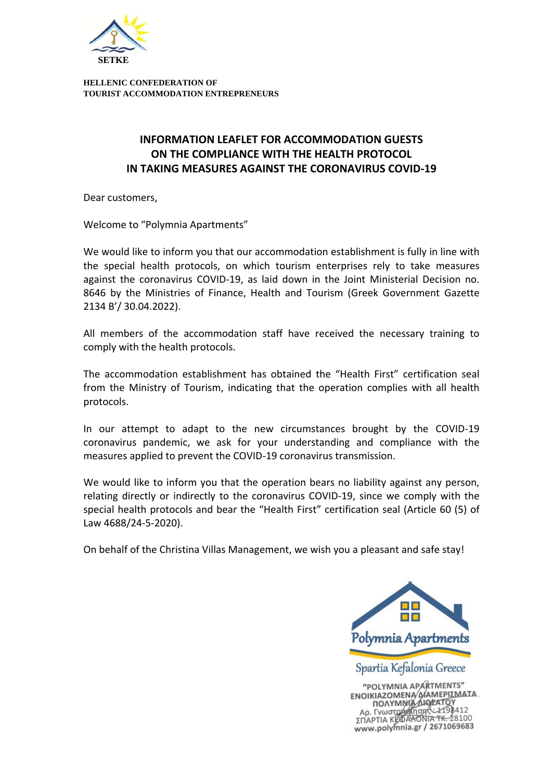

**HELLENIC CONFEDERATION OF TOURIST ACCOMMODATION ENTREPRENEURS** 

## **INFORMATION LEAFLET FOR ACCOMMODATION GUESTS ON THE COMPLIANCE WITH THE HEALTH PROTOCOL IN TAKING MEASURES AGAINST THE CORONAVIRUS COVID‐19**

Dear customers,

Welcome to "Polymnia Apartments"

We would like to inform you that our accommodation establishment is fully in line with the special health protocols, on which tourism enterprises rely to take measures against the coronavirus COVID‐19, as laid down in the Joint Ministerial Decision no. 8646 by the Ministries of Finance, Health and Tourism (Greek Government Gazette 2134 Β'/ 30.04.2022).

All members of the accommodation staff have received the necessary training to comply with the health protocols.

The accommodation establishment has obtained the "Health First" certification seal from the Ministry of Tourism, indicating that the operation complies with all health protocols.

In our attempt to adapt to the new circumstances brought by the COVID‐19 coronavirus pandemic, we ask for your understanding and compliance with the measures applied to prevent the COVID‐19 coronavirus transmission.

We would like to inform you that the operation bears no liability against any person, relating directly or indirectly to the coronavirus COVID‐19, since we comply with the special health protocols and bear the "Health First" certification seal (Article 60 (5) of Law 4688/24‐5‐2020).

On behalf of the Christina Villas Management, we wish you a pleasant and safe stay!



"POLYMNIA APARTMENTS" "POLYMNIA APARTMENTS<br> **ENOIKIAZOMENA AIAMEPIΣMATA**<br> **ΠΟΛΥΜΝΙΑ AIAMEPIΣMATA**<br>
Αρ. Γνωστορά Πσης -2198412<br>ΣΠΑΡΤΙΑ ΚΕΦΑΚΟΝΤΑ ΤΚ. 2871069683 www.polymnia.gr / 2671069683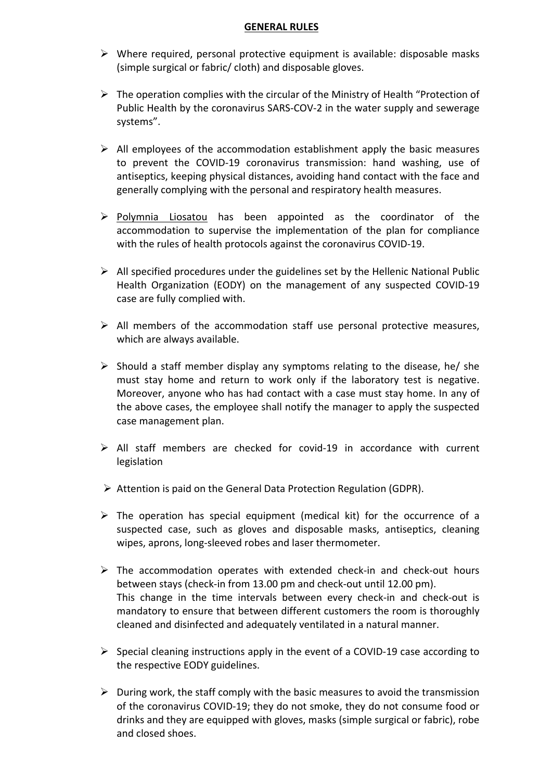## **GENERAL RULES**

- $\triangleright$  Where required, personal protective equipment is available: disposable masks (simple surgical or fabric/ cloth) and disposable gloves.
- $\triangleright$  The operation complies with the circular of the Ministry of Health "Protection of Public Health by the coronavirus SARS‐COV‐2 in the water supply and sewerage systems".
- $\triangleright$  All employees of the accommodation establishment apply the basic measures to prevent the COVID‐19 coronavirus transmission: hand washing, use of antiseptics, keeping physical distances, avoiding hand contact with the face and generally complying with the personal and respiratory health measures.
- $\triangleright$  Polymnia Liosatou has been appointed as the coordinator of the accommodation to supervise the implementation of the plan for compliance with the rules of health protocols against the coronavirus COVID‐19.
- $\triangleright$  All specified procedures under the guidelines set by the Hellenic National Public Health Organization (EODY) on the management of any suspected COVID‐19 case are fully complied with.
- $\triangleright$  All members of the accommodation staff use personal protective measures, which are always available.
- $\triangleright$  Should a staff member display any symptoms relating to the disease, he/ she must stay home and return to work only if the laboratory test is negative. Moreover, anyone who has had contact with a case must stay home. In any of the above cases, the employee shall notify the manager to apply the suspected case management plan.
- $\triangleright$  All staff members are checked for covid-19 in accordance with current legislation
- $\triangleright$  Attention is paid on the General Data Protection Regulation (GDPR).
- $\triangleright$  The operation has special equipment (medical kit) for the occurrence of a suspected case, such as gloves and disposable masks, antiseptics, cleaning wipes, aprons, long‐sleeved robes and laser thermometer.
- $\triangleright$  The accommodation operates with extended check-in and check-out hours between stays (check‐in from 13.00 pm and check‐out until 12.00 pm). This change in the time intervals between every check‐in and check‐out is mandatory to ensure that between different customers the room is thoroughly cleaned and disinfected and adequately ventilated in a natural manner.
- $\triangleright$  Special cleaning instructions apply in the event of a COVID-19 case according to the respective EODY guidelines.
- $\triangleright$  During work, the staff comply with the basic measures to avoid the transmission of the coronavirus COVID‐19; they do not smoke, they do not consume food or drinks and they are equipped with gloves, masks (simple surgical or fabric), robe and closed shoes.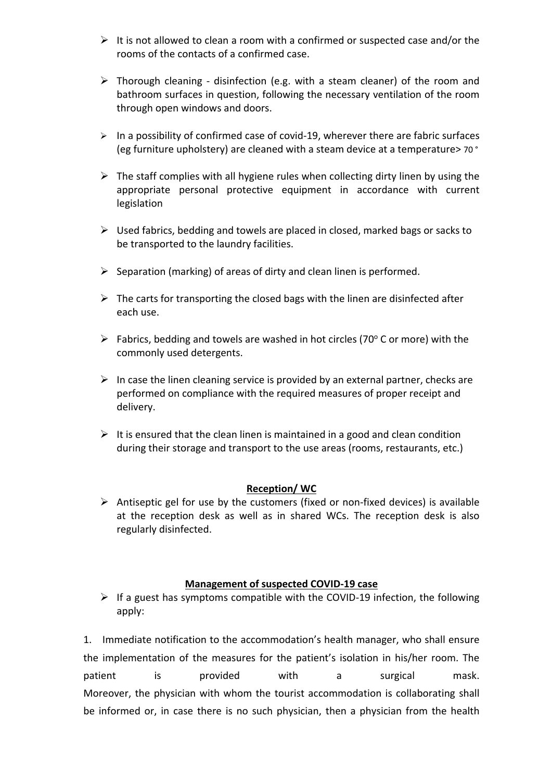- $\triangleright$  It is not allowed to clean a room with a confirmed or suspected case and/or the rooms of the contacts of a confirmed case.
- $\triangleright$  Thorough cleaning disinfection (e.g. with a steam cleaner) of the room and bathroom surfaces in question, following the necessary ventilation of the room through open windows and doors.
- $\triangleright$  In a possibility of confirmed case of covid-19, wherever there are fabric surfaces (eg furniture upholstery) are cleaned with a steam device at a temperature> 70 °
- $\triangleright$  The staff complies with all hygiene rules when collecting dirty linen by using the appropriate personal protective equipment in accordance with current legislation
- $\triangleright$  Used fabrics, bedding and towels are placed in closed, marked bags or sacks to be transported to the laundry facilities.
- $\triangleright$  Separation (marking) of areas of dirty and clean linen is performed.
- $\triangleright$  The carts for transporting the closed bags with the linen are disinfected after each use.
- $\triangleright$  Fabrics, bedding and towels are washed in hot circles (70° C or more) with the commonly used detergents.
- $\triangleright$  In case the linen cleaning service is provided by an external partner, checks are performed on compliance with the required measures of proper receipt and delivery.
- $\triangleright$  It is ensured that the clean linen is maintained in a good and clean condition during their storage and transport to the use areas (rooms, restaurants, etc.)

## **Reception/ WC**

 Antiseptic gel for use by the customers (fixed or non‐fixed devices) is available at the reception desk as well as in shared WCs. The reception desk is also regularly disinfected.

## **Management of suspected COVID‐19 case**

 $\triangleright$  If a guest has symptoms compatible with the COVID-19 infection, the following apply:

1. Immediate notification to the accommodation's health manager, who shall ensure the implementation of the measures for the patient's isolation in his/her room. The patient is provided with a surgical mask. Moreover, the physician with whom the tourist accommodation is collaborating shall be informed or, in case there is no such physician, then a physician from the health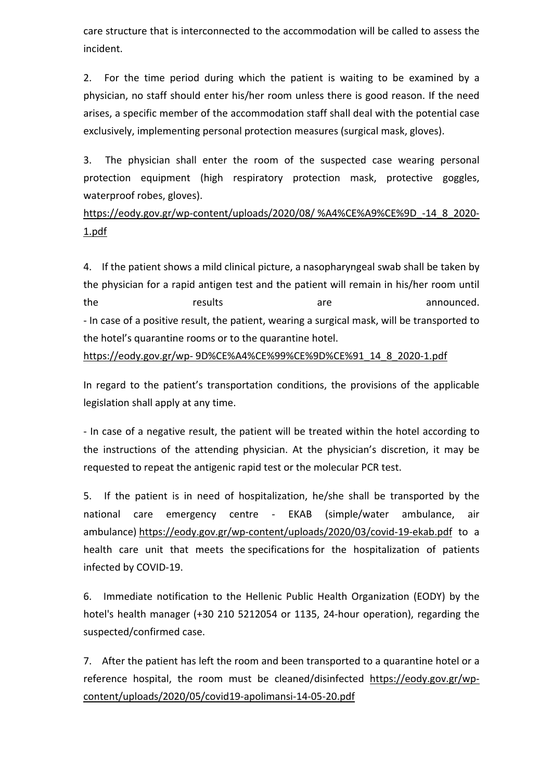care structure that is interconnected to the accommodation will be called to assess the incident.

2. For the time period during which the patient is waiting to be examined by a physician, no staff should enter his/her room unless there is good reason. If the need arises, a specific member of the accommodation staff shall deal with the potential case exclusively, implementing personal protection measures (surgical mask, gloves).

3. The physician shall enter the room of the suspected case wearing personal protection equipment (high respiratory protection mask, protective goggles, waterproof robes, gloves).

https://eody.gov.gr/wp-content/uploads/2020/08/ %A4%CE%A9%CE%9D -14\_8\_2020-1.pdf

4. If the patient shows a mild clinical picture, a nasopharyngeal swab shall be taken by the physician for a rapid antigen test and the patient will remain in his/her room until the results are announced. ‐ In case of a positive result, the patient, wearing a surgical mask, will be transported to the hotel's quarantine rooms or to the quarantine hotel.

https://eody.gov.gr/wp‐ 9D%CE%A4%CE%99%CE%9D%CE%91\_14\_8\_2020‐1.pdf

In regard to the patient's transportation conditions, the provisions of the applicable legislation shall apply at any time.

‐ In case of a negative result, the patient will be treated within the hotel according to the instructions of the attending physician. At the physician's discretion, it may be requested to repeat the antigenic rapid test or the molecular PCR test.

5. If the patient is in need of hospitalization, he/she shall be transported by the national care emergency centre - EKAB (simple/water ambulance, air ambulance) https://eody.gov.gr/wp-content/uploads/2020/03/covid-19-ekab.pdf to a health care unit that meets the specifications for the hospitalization of patients infected by COVID‐19.

6. Immediate notification to the Hellenic Public Health Organization (EODY) by the hotel's health manager (+30 210 5212054 or 1135, 24‐hour operation), regarding the suspected/confirmed case.

7. After the patient has left the room and been transported to a quarantine hotel or a reference hospital, the room must be cleaned/disinfected https://eody.gov.gr/wp‐ content/uploads/2020/05/covid19‐apolimansi‐14‐05‐20.pdf